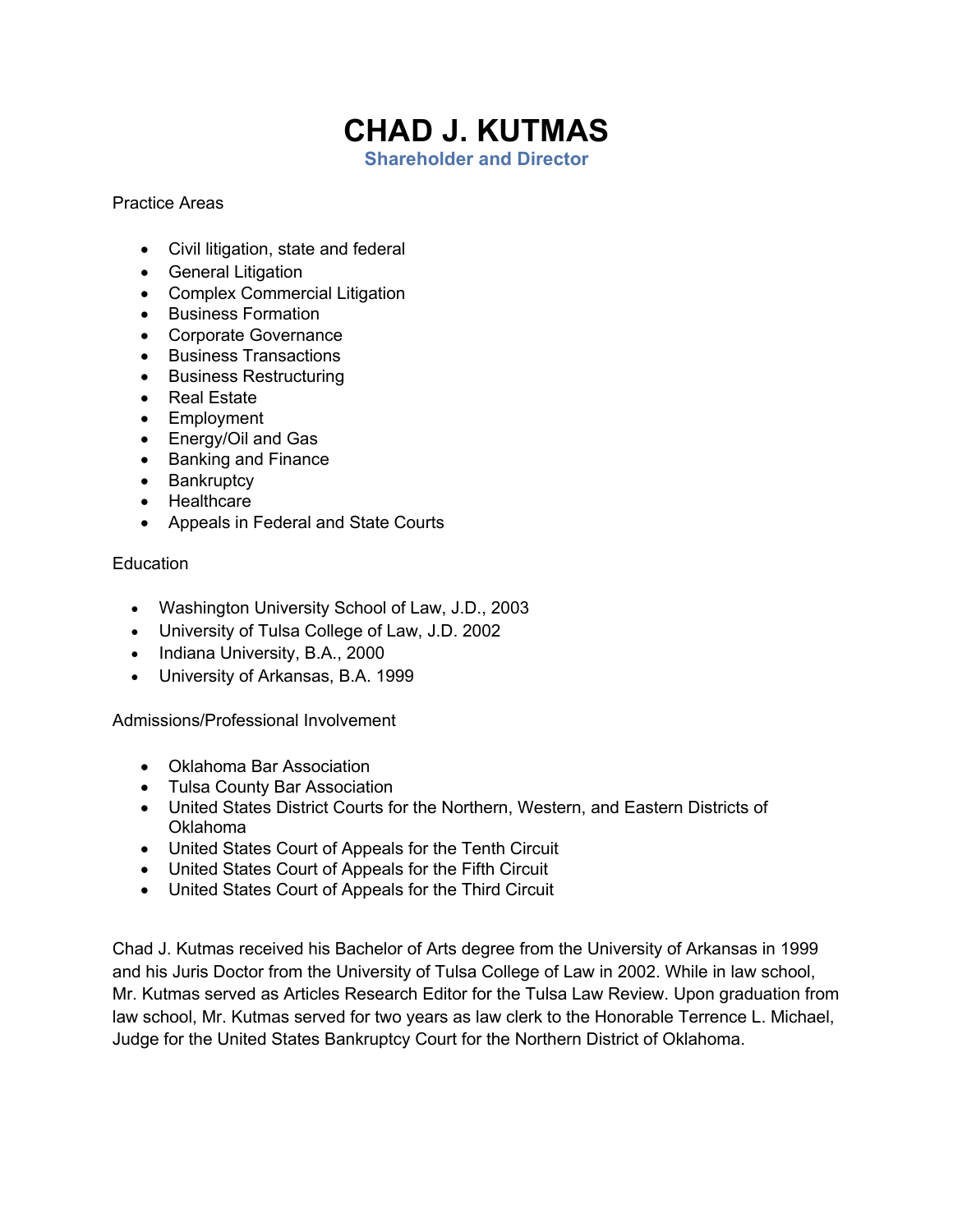## **CHAD J. KUTMAS**

**Shareholder and Director**

## Practice Areas

- Civil litigation, state and federal
- General Litigation
- Complex Commercial Litigation
- Business Formation
- Corporate Governance
- Business Transactions
- Business Restructuring
- Real Estate
- Employment
- Energy/Oil and Gas
- Banking and Finance
- Bankruptcy
- Healthcare
- Appeals in Federal and State Courts

## Education

- Washington University School of Law, J.D., 2003
- University of Tulsa College of Law, J.D. 2002
- Indiana University, B.A., 2000
- University of Arkansas, B.A. 1999

## Admissions/Professional Involvement

- Oklahoma Bar Association
- Tulsa County Bar Association
- United States District Courts for the Northern, Western, and Eastern Districts of Oklahoma
- United States Court of Appeals for the Tenth Circuit
- United States Court of Appeals for the Fifth Circuit
- United States Court of Appeals for the Third Circuit

Chad J. Kutmas received his Bachelor of Arts degree from the University of Arkansas in 1999 and his Juris Doctor from the University of Tulsa College of Law in 2002. While in law school, Mr. Kutmas served as Articles Research Editor for the Tulsa Law Review. Upon graduation from law school, Mr. Kutmas served for two years as law clerk to the Honorable Terrence L. Michael, Judge for the United States Bankruptcy Court for the Northern District of Oklahoma.